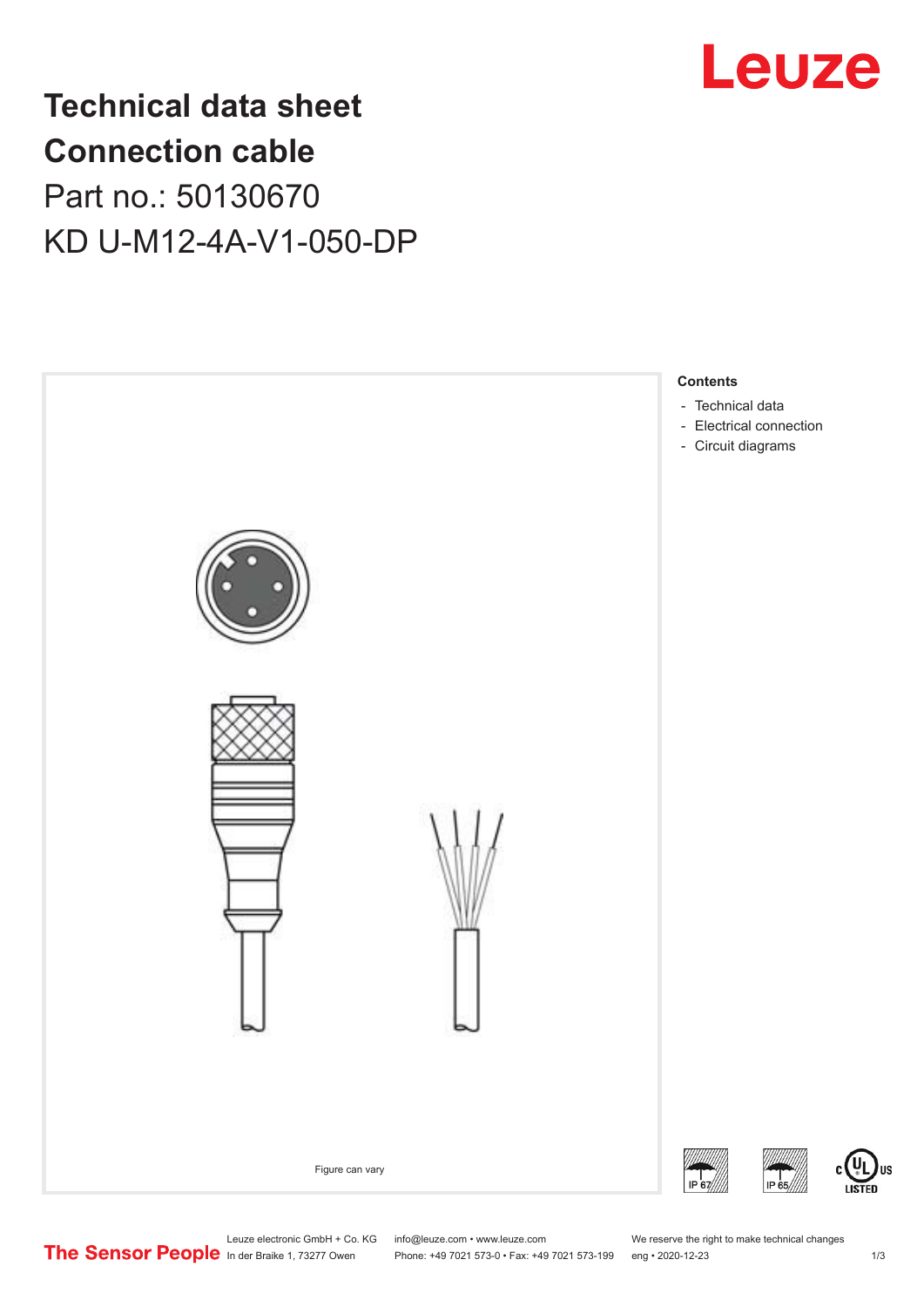

## **Technical data sheet Connection cable** Part no.: 50130670 KD U-M12-4A-V1-050-DP



Leuze electronic GmbH + Co. KG info@leuze.com • www.leuze.com We reserve the right to make technical changes<br>
The Sensor People in der Braike 1, 73277 Owen Phone: +49 7021 573-0 • Fax: +49 7021 573-199 eng • 2020-12-23

Phone: +49 7021 573-0 • Fax: +49 7021 573-199 eng • 2020-12-23 1 /3

US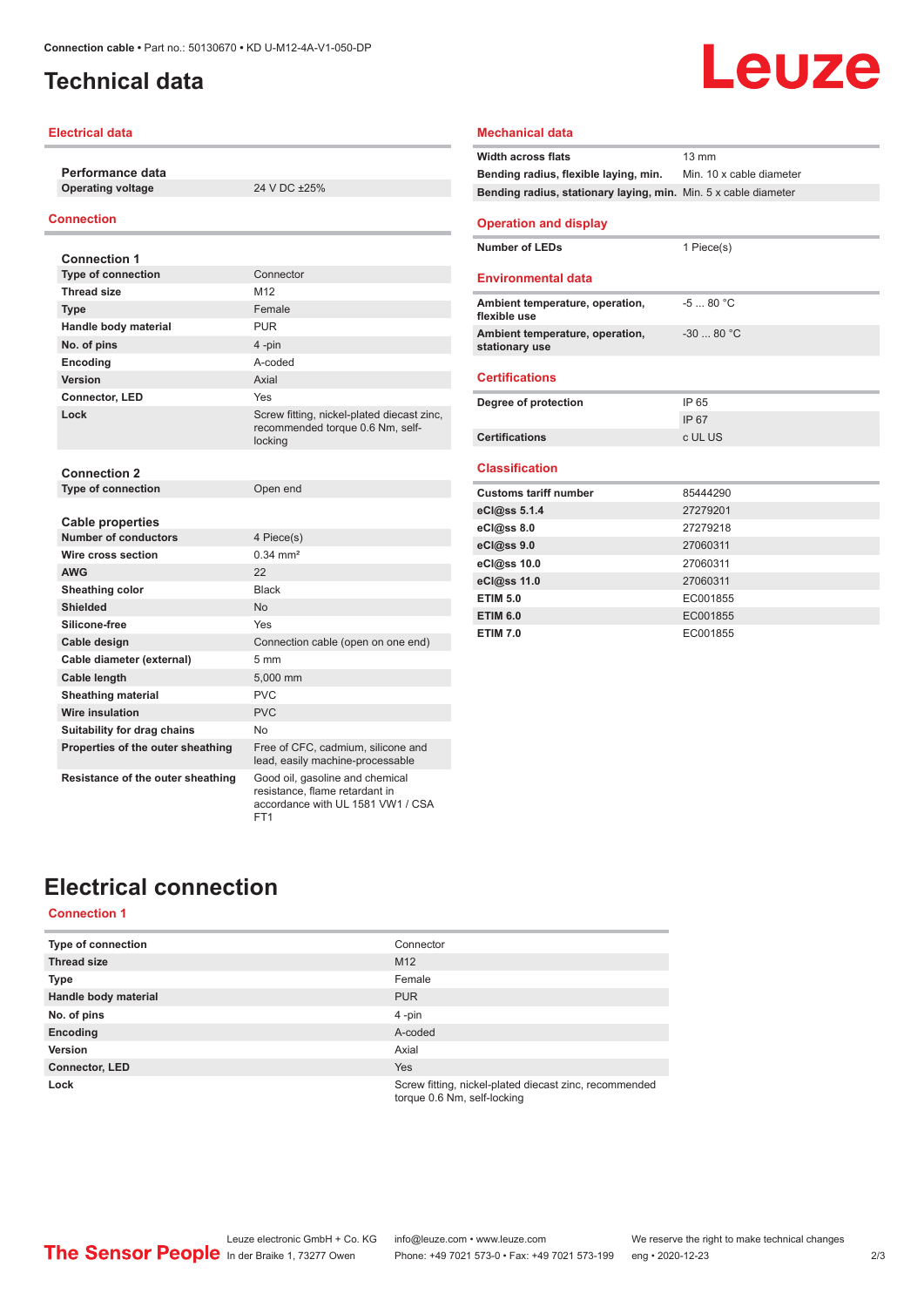### <span id="page-1-0"></span>**Technical data**

#### **Electrical data**

**Performance data Operating voltage** 24 V DC ±25%

#### **Connection**

| <b>Connection 1</b>                                    |                                                                                                        |
|--------------------------------------------------------|--------------------------------------------------------------------------------------------------------|
| <b>Type of connection</b>                              | Connector                                                                                              |
| <b>Thread size</b>                                     | M <sub>12</sub>                                                                                        |
| <b>Type</b>                                            | Female                                                                                                 |
| Handle body material                                   | <b>PUR</b>                                                                                             |
| No. of pins                                            | 4-pin                                                                                                  |
| Encoding                                               | A-coded                                                                                                |
| Version                                                | Axial                                                                                                  |
| Connector, LED                                         | Yes                                                                                                    |
| Lock                                                   | Screw fitting, nickel-plated diecast zinc,<br>recommended torque 0.6 Nm, self-<br>locking              |
| <b>Connection 2</b>                                    |                                                                                                        |
| <b>Type of connection</b>                              | Open end                                                                                               |
| <b>Cable properties</b><br><b>Number of conductors</b> | 4 Piece(s)                                                                                             |
| Wire cross section                                     | $0.34 \, \text{mm}^2$                                                                                  |
| <b>AWG</b>                                             | 22                                                                                                     |
|                                                        |                                                                                                        |
| Sheathing color                                        | <b>Black</b>                                                                                           |
| <b>Shielded</b>                                        | <b>No</b>                                                                                              |
| Silicone-free                                          | Yes                                                                                                    |
| Cable design                                           | Connection cable (open on one end)                                                                     |
| Cable diameter (external)                              | $5 \, \text{mm}$                                                                                       |
| <b>Cable length</b>                                    | 5.000 mm                                                                                               |
| <b>Sheathing material</b>                              | PVC                                                                                                    |
| Wire insulation                                        | <b>PVC</b>                                                                                             |
| Suitability for drag chains                            | No                                                                                                     |
| Properties of the outer sheathing                      | Free of CFC, cadmium, silicone and<br>lead, easily machine-processable                                 |
| Resistance of the outer sheathing                      | Good oil, gasoline and chemical<br>resistance, flame retardant in<br>accordance with UL 1581 VW1 / CSA |

FT1

## Leuze

#### **Mechanical data Width across flats** 13 mm **Bending radius, flexible laying, min.** Min. 10 x cable diameter **Bending radius, stationary laying, min.** Min. 5 x cable diameter **Operation and display Number of LEDs** 1 Piece(s) **Environmental data Ambient temperature, operation, flexible use** -5 ... 80 °C **Ambient temperature, operation, stationary use** -30 ... 80 °C **Certifications Degree of protection** IP 65 IP 67 **Certifications** c UL US **Classification Customs tariff number** 85444290 **eCl@ss 5.1.4** 27279201 **eCl@ss 8.0** 27279218 **eCl@ss 9.0** 27060311 **eCl@ss 10.0** 27060311 **eCl@ss 11.0** 27060311 **ETIM 5.0** EC001855 **ETIM 6.0** EC001855 **ETIM 7.0** EC001855

## **Electrical connection**

#### **Connection 1**

| <b>Type of connection</b> | Connector                                                                             |
|---------------------------|---------------------------------------------------------------------------------------|
| <b>Thread size</b>        | M <sub>12</sub>                                                                       |
| <b>Type</b>               | Female                                                                                |
| Handle body material      | <b>PUR</b>                                                                            |
| No. of pins               | $4$ -pin                                                                              |
| Encoding                  | A-coded                                                                               |
| Version                   | Axial                                                                                 |
| <b>Connector, LED</b>     | <b>Yes</b>                                                                            |
| Lock                      | Screw fitting, nickel-plated diecast zinc, recommended<br>torque 0.6 Nm, self-locking |